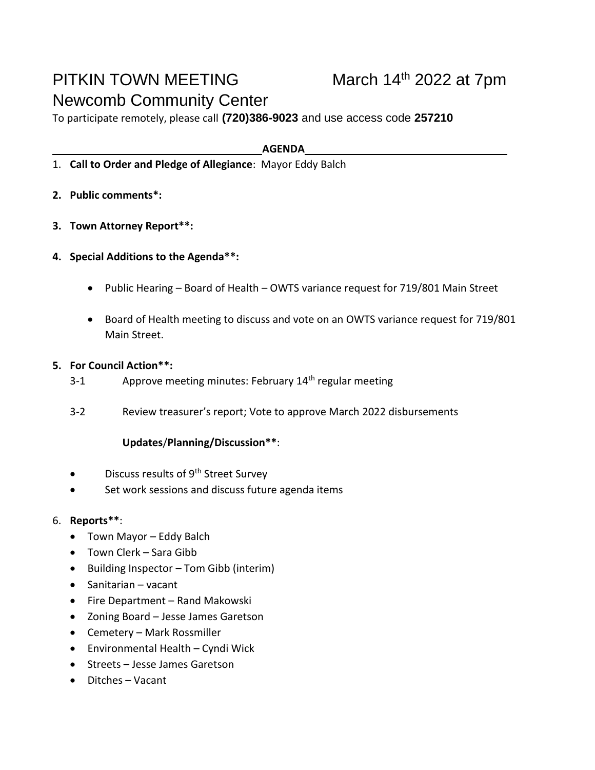## PITKIN TOWN MEETING Newcomb Community Center

To participate remotely, please call **(720)386-9023** and use access code **257210**

**AGENDA**

- 1. **Call to Order and Pledge of Allegiance**: Mayor Eddy Balch
- **2. Public comments\*:**
- **3. Town Attorney Report\*\*:**
- **4. Special Additions to the Agenda\*\*:**
	- Public Hearing Board of Health OWTS variance request for 719/801 Main Street
	- Board of Health meeting to discuss and vote on an OWTS variance request for 719/801 Main Street.
- **5. For Council Action\*\*:**
	- 3-1 Approve meeting minutes: February 14<sup>th</sup> regular meeting
	- 3-2 Review treasurer's report; Vote to approve March 2022 disbursements

## **Updates**/**Planning/Discussion\*\***:

- Discuss results of  $9<sup>th</sup>$  Street Survey
- Set work sessions and discuss future agenda items

## 6. **Reports\*\***:

- Town Mayor Eddy Balch
- Town Clerk Sara Gibb
- Building Inspector Tom Gibb (interim)
- Sanitarian vacant
- Fire Department Rand Makowski
- Zoning Board Jesse James Garetson
- Cemetery Mark Rossmiller
- Environmental Health Cyndi Wick
- Streets Jesse James Garetson
- Ditches Vacant